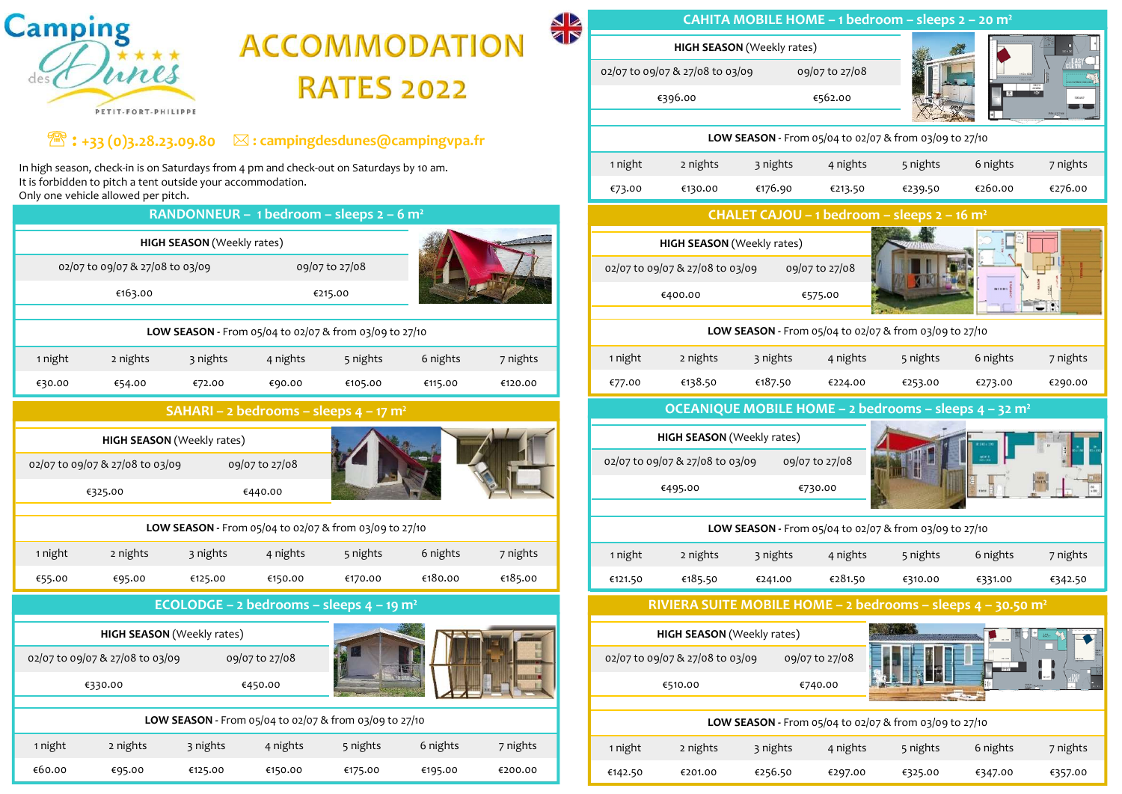

| <b>AR</b><br><b>Imping</b>                                                                                                                   | CAHITA MOBILE HOME - 1 bedroom - sleeps 2 - 20 m <sup>2</sup>                                                                                               |  |  |  |  |  |  |  |  |  |
|----------------------------------------------------------------------------------------------------------------------------------------------|-------------------------------------------------------------------------------------------------------------------------------------------------------------|--|--|--|--|--|--|--|--|--|
| <b>ACCOMMODATION</b>                                                                                                                         | <b>HIGH SEASON</b> (Weekly rates)                                                                                                                           |  |  |  |  |  |  |  |  |  |
| <b>RATES 2022</b>                                                                                                                            | 02/07 to 09/07 & 27/08 to 03/09<br>09/07 to 27/08<br>€396.00<br>€562.00                                                                                     |  |  |  |  |  |  |  |  |  |
| PETIT-FORT-PHILIPPE                                                                                                                          |                                                                                                                                                             |  |  |  |  |  |  |  |  |  |
| $\mathbb{R}:$ +33 (0)3.28.23.09.80 $\boxtimes$ : campingdesdunes@campingvpa.fr                                                               | LOW SEASON - From 05/04 to 02/07 & from 03/09 to 27/10                                                                                                      |  |  |  |  |  |  |  |  |  |
| igh season, check-in is on Saturdays from 4 pm and check-out on Saturdays by 10 am.<br>forbidden to pitch a tent outside your accommodation. | 1 night<br>2 nights<br>3 nights<br>4 nights<br>5 nights<br>6 nights<br>7 nights<br>€176.90<br>€276.00<br>€130.00<br>€213.50<br>€260.00<br>€239.50<br>€73.00 |  |  |  |  |  |  |  |  |  |
| y one vehicle allowed per pitch.<br>RANDONNEUR - 1 bedroom - sleeps $2 - 6$ m <sup>2</sup>                                                   | CHALET CAJOU - 1 bedroom - sleeps 2 - 16 m <sup>2</sup>                                                                                                     |  |  |  |  |  |  |  |  |  |
| <b>HIGH SEASON</b> (Weekly rates)                                                                                                            | <b>HIGH SEASON</b> (Weekly rates)                                                                                                                           |  |  |  |  |  |  |  |  |  |
| 02/07 to 09/07 & 27/08 to 03/09<br>09/07 to 27/08                                                                                            | 02/07 to 09/07 & 27/08 to 03/09<br>09/07 to 27/08                                                                                                           |  |  |  |  |  |  |  |  |  |
| €163.00<br>€215.00                                                                                                                           | €400.00<br>€575.00<br>FETER                                                                                                                                 |  |  |  |  |  |  |  |  |  |
| LOW SEASON - From 05/04 to 02/07 & from 03/09 to 27/10                                                                                       | LOW SEASON - From 05/04 to 02/07 & from 03/09 to 27/10                                                                                                      |  |  |  |  |  |  |  |  |  |
| 3 nights<br>5 nights<br>6 nights<br>2 nights<br>4 nights<br>7 nights<br>1 night                                                              | 2 nights<br>6 nights<br>1 night<br>3 nights<br>4 nights<br>5 nights<br>7 nights                                                                             |  |  |  |  |  |  |  |  |  |
| €54.00<br>€72.00<br>€90.00<br>€105.00<br>€115.00<br>€120.00<br>€30.00                                                                        | €138.50<br>€187.50<br>€224.00<br>€253.00<br>€273.00<br>€77.00<br>€290.00                                                                                    |  |  |  |  |  |  |  |  |  |
| SAHARI - 2 bedrooms - sleeps $4 - 17$ m <sup>2</sup>                                                                                         | OCEANIQUE MOBILE HOME - 2 bedrooms - sleeps 4 - 32 m <sup>2</sup>                                                                                           |  |  |  |  |  |  |  |  |  |
| <b>HIGH SEASON</b> (Weekly rates)                                                                                                            | HIGH SEASON (Weekly rates)                                                                                                                                  |  |  |  |  |  |  |  |  |  |
| 2/07 to 09/07 & 27/08 to 03/09<br>09/07 to 27/08                                                                                             | 09/07 to 27/08<br>02/07 to 09/07 & 27/08 to 03/09                                                                                                           |  |  |  |  |  |  |  |  |  |
| €325.00<br>€440.00                                                                                                                           | €495.00<br>€730.00                                                                                                                                          |  |  |  |  |  |  |  |  |  |
| LOW SEASON - From 05/04 to 02/07 & from 03/09 to 27/10                                                                                       | LOW SEASON - From 05/04 to 02/07 & from 03/09 to 27/10                                                                                                      |  |  |  |  |  |  |  |  |  |
| 2 nights<br>6 nights<br>7 nights<br>1 night<br>3 nights<br>4 nights<br>5 nights                                                              | 1 night<br>2 nights<br>4 nights<br>6 nights<br>3 nights<br>5 nights<br>7 nights                                                                             |  |  |  |  |  |  |  |  |  |
|                                                                                                                                              |                                                                                                                                                             |  |  |  |  |  |  |  |  |  |
| €180.00<br>€185.00<br>€95.00<br>€125.00<br>€150.00<br>€170.00<br>€55.00                                                                      | €185.50<br>€281.50<br>€241.00<br>€121.50<br>€310.00<br>€331.00<br>€342.50                                                                                   |  |  |  |  |  |  |  |  |  |
| ECOLODGE - 2 bedrooms - sleeps $4 - 19$ m <sup>2</sup>                                                                                       | RIVIERA SUITE MOBILE HOME - 2 bedrooms - sleeps 4 - 30.50 m <sup>2</sup>                                                                                    |  |  |  |  |  |  |  |  |  |
| <b>HIGH SEASON</b> (Weekly rates)                                                                                                            | <b>HIGH SEASON</b> (Weekly rates)                                                                                                                           |  |  |  |  |  |  |  |  |  |
| 09/07 to 27/08<br>2/07 to 09/07 & 27/08 to 03/09                                                                                             | 09/07 to 27/08<br>02/07 to 09/07 & 27/08 to 03/09                                                                                                           |  |  |  |  |  |  |  |  |  |
| €330.00<br>€450.00                                                                                                                           | €510.00<br>€740.00                                                                                                                                          |  |  |  |  |  |  |  |  |  |
| LOW SEASON - From 05/04 to 02/07 & from 03/09 to 27/10                                                                                       | LOW SEASON - From 05/04 to 02/07 & from 03/09 to 27/10                                                                                                      |  |  |  |  |  |  |  |  |  |
| night<br>2 nights<br>3 nights<br>4 nights<br>5 nights<br>6 nights<br>7 nights                                                                | 1 night<br>2 nights<br>7 nights<br>3 nights<br>4 nights<br>5 nights<br>6 nights                                                                             |  |  |  |  |  |  |  |  |  |

## $\mathcal{E}:$  +33 (0)3.28.23.09.80  $\boxtimes$  : campingdesdunes@campingvpa.fr

|         | <b>Camping</b>                                                                                                                                                                                |                                   |                            |                                                        |                      | <b>SR</b> |                                             |                                             |                                             |                                   | <b>CAHITA MOBILE HOME - 1 bedroom - slee</b> |                            |  |  |  |  |  |  |
|---------|-----------------------------------------------------------------------------------------------------------------------------------------------------------------------------------------------|-----------------------------------|----------------------------|--------------------------------------------------------|----------------------|-----------|---------------------------------------------|---------------------------------------------|---------------------------------------------|-----------------------------------|----------------------------------------------|----------------------------|--|--|--|--|--|--|
|         |                                                                                                                                                                                               |                                   |                            |                                                        | <b>ACCOMMODATION</b> |           |                                             |                                             |                                             | <b>HIGH SEASON</b> (Weekly rates) |                                              |                            |  |  |  |  |  |  |
|         | unes                                                                                                                                                                                          |                                   |                            |                                                        |                      |           |                                             |                                             | 02/07 to 09/07 & 27/08 to 03/09             |                                   | 09/07 to 27/08                               |                            |  |  |  |  |  |  |
|         | PETIT-FORT-PHILIPPE                                                                                                                                                                           |                                   |                            | <b>RATES 2022</b>                                      |                      |           |                                             |                                             | €396.00                                     |                                   | €562.00                                      |                            |  |  |  |  |  |  |
|         | $\mathbb{Z}:$ +33 (0)3.28.23.09.80 $\quad \boxtimes$ : campingdesdunes@campingvpa.fr                                                                                                          |                                   |                            |                                                        |                      |           |                                             |                                             |                                             |                                   | LOW SEASON - From 05/04 to 02/07 & from 03/  |                            |  |  |  |  |  |  |
|         | In high season, check-in is on Saturdays from 4 pm and check-out on Saturdays by 10 am.<br>It is forbidden to pitch a tent outside your accommodation.<br>Only one vehicle allowed per pitch. |                                   |                            |                                                        |                      |           |                                             | 1 night<br>€73.00                           | 2 nights<br>€130.00                         | 3 nights<br>€176.90               | 4 nights<br>€213.50                          | 5 night<br>€239.50         |  |  |  |  |  |  |
|         |                                                                                                                                                                                               |                                   |                            | RANDONNEUR - 1 bedroom - sleeps $2 - 6$ m <sup>2</sup> |                      |           |                                             |                                             |                                             |                                   | CHALET CAJOU - 1 bedroom - sleeps            |                            |  |  |  |  |  |  |
|         |                                                                                                                                                                                               | <b>HIGH SEASON</b> (Weekly rates) |                            |                                                        |                      |           |                                             |                                             | HIGH SEASON (Weekly rates)                  |                                   |                                              |                            |  |  |  |  |  |  |
|         | 02/07 to 09/07 & 27/08 to 03/09                                                                                                                                                               |                                   |                            | 09/07 to 27/08                                         |                      |           |                                             |                                             | 02/07 to 09/07 & 27/08 to 03/09             |                                   | 09/07 to 27/08                               |                            |  |  |  |  |  |  |
|         | €163.00                                                                                                                                                                                       |                                   |                            | €215.00                                                |                      |           |                                             |                                             | €400.00                                     |                                   | €575.00                                      |                            |  |  |  |  |  |  |
|         |                                                                                                                                                                                               |                                   |                            | LOW SEASON - From 05/04 to 02/07 & from 03/09 to 27/10 |                      |           |                                             | LOW SEASON - From 05/04 to 02/07 & from 03/ |                                             |                                   |                                              |                            |  |  |  |  |  |  |
| 1 night | 2 nights                                                                                                                                                                                      | 3 nights                          | 4 nights                   | 5 nights                                               | 6 nights             | 7 nights  |                                             | 1 night                                     | 2 nights                                    | 3 nights                          | 4 nights                                     | 5 night:                   |  |  |  |  |  |  |
| €30.00  | €54.00                                                                                                                                                                                        | €72.00                            | €90.00                     | €105.00                                                | €115.00              | €120.00   |                                             | €77.00                                      | €138.50                                     | €187.50                           | €224.00                                      | €253.00                    |  |  |  |  |  |  |
|         |                                                                                                                                                                                               |                                   |                            | SAHARI - 2 bedrooms - sleeps $4 - 17$ m <sup>2</sup>   |                      |           |                                             |                                             | <b>OCEANIQUE MOBILE HOME - 2 bedrooms -</b> |                                   |                                              |                            |  |  |  |  |  |  |
|         |                                                                                                                                                                                               | <b>HIGH SEASON</b> (Weekly rates) |                            |                                                        |                      |           |                                             |                                             | <b>HIGH SEASON</b> (Weekly rates)           |                                   |                                              |                            |  |  |  |  |  |  |
|         | 02/07 to 09/07 & 27/08 to 03/09                                                                                                                                                               |                                   | 09/07 to 27/08             |                                                        |                      |           |                                             |                                             | 02/07 to 09/07 & 27/08 to 03/09             |                                   | 09/07 to 27/08                               |                            |  |  |  |  |  |  |
|         | €325.00                                                                                                                                                                                       |                                   | €440.00                    |                                                        |                      |           |                                             |                                             | €495.00                                     |                                   | €730.00                                      |                            |  |  |  |  |  |  |
|         | LOW SEASON - From 05/04 to 02/07 & from 03/09 to 27/10                                                                                                                                        |                                   |                            |                                                        |                      |           | LOW SEASON - From 05/04 to 02/07 & from 03/ |                                             |                                             |                                   |                                              |                            |  |  |  |  |  |  |
| 1 night | 2 nights                                                                                                                                                                                      | 3 nights                          | 4 nights                   | 5 nights                                               | 6 nights             | 7 nights  |                                             | 1 night                                     | 2 nights                                    | 3 nights                          | 4 nights                                     | 5 night                    |  |  |  |  |  |  |
| €55.00  | €95.00                                                                                                                                                                                        | €125.00                           | €150.00                    | €170.00                                                | €180.00              | €185.00   |                                             | €121.50                                     | €185.50                                     | €241.00                           | €281.50                                      | €310.00                    |  |  |  |  |  |  |
|         |                                                                                                                                                                                               |                                   |                            | ECOLODGE - 2 bedrooms - sleeps $4 - 19$ m <sup>2</sup> |                      |           |                                             |                                             | RIVIERA SUITE MOBILE HOME - 2 bedrooms - s  |                                   |                                              |                            |  |  |  |  |  |  |
|         |                                                                                                                                                                                               |                                   | HIGH SEASON (Weekly rates) |                                                        |                      |           |                                             |                                             |                                             |                                   |                                              | HIGH SEASON (Weekly rates) |  |  |  |  |  |  |
|         |                                                                                                                                                                                               |                                   |                            |                                                        |                      |           |                                             |                                             |                                             |                                   |                                              |                            |  |  |  |  |  |  |
|         | 02/07 to 09/07 & 27/08 to 03/09                                                                                                                                                               |                                   | 09/07 to 27/08             |                                                        |                      |           |                                             |                                             | 02/07 to 09/07 & 27/08 to 03/09             |                                   | 09/07 to 27/08                               |                            |  |  |  |  |  |  |
|         | €330.00                                                                                                                                                                                       |                                   | €450.00                    |                                                        |                      |           |                                             |                                             | €510.00                                     |                                   | €740.00                                      |                            |  |  |  |  |  |  |
|         |                                                                                                                                                                                               |                                   |                            | LOW SEASON - From 05/04 to 02/07 & from 03/09 to 27/10 |                      |           |                                             |                                             |                                             |                                   | LOW SEASON - From 05/04 to 02/07 & from 03/  |                            |  |  |  |  |  |  |
| 1 night | 2 nights                                                                                                                                                                                      | 3 nights                          | 4 nights                   | 5 nights                                               | 6 nights             | 7 nights  |                                             | 1 night                                     | 2 nights                                    | 3 nights                          | 4 nights                                     | 5 night:                   |  |  |  |  |  |  |